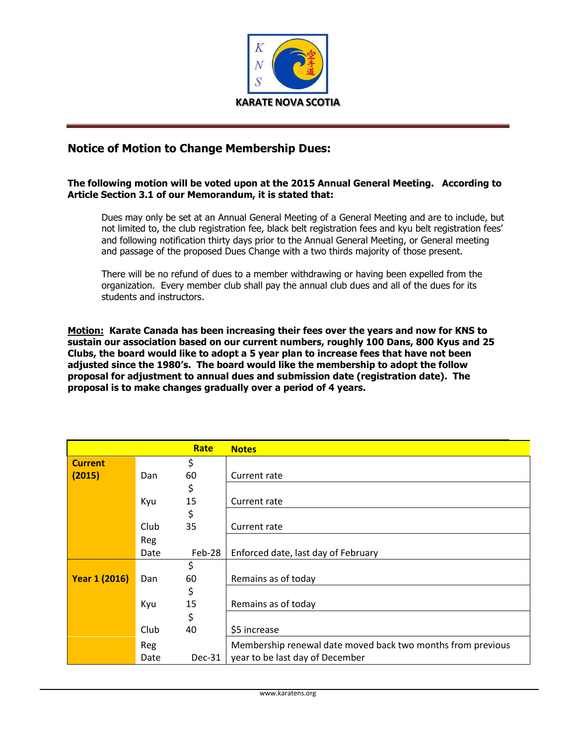

## **Notice of Motion to Change Membership Dues:**

## **The following motion will be voted upon at the 2015 Annual General Meeting. According to Article Section 3.1 of our Memorandum, it is stated that:**

Dues may only be set at an Annual General Meeting of a General Meeting and are to include, but not limited to, the club registration fee, black belt registration fees and kyu belt registration fees' and following notification thirty days prior to the Annual General Meeting, or General meeting and passage of the proposed Dues Change with a two thirds majority of those present.

There will be no refund of dues to a member withdrawing or having been expelled from the organization. Every member club shall pay the annual club dues and all of the dues for its students and instructors.

**Motion: Karate Canada has been increasing their fees over the years and now for KNS to sustain our association based on our current numbers, roughly 100 Dans, 800 Kyus and 25 Clubs, the board would like to adopt a 5 year plan to increase fees that have not been adjusted since the 1980's. The board would like the membership to adopt the follow proposal for adjustment to annual dues and submission date (registration date). The proposal is to make changes gradually over a period of 4 years.**

|                      |      | Rate   | <b>Notes</b>                                                |
|----------------------|------|--------|-------------------------------------------------------------|
| <b>Current</b>       |      | \$     |                                                             |
| (2015)               | Dan  | 60     | Current rate                                                |
|                      |      | \$     |                                                             |
|                      | Kyu  | 15     | Current rate                                                |
|                      |      | \$     |                                                             |
|                      | Club | 35     | Current rate                                                |
|                      | Reg  |        |                                                             |
|                      | Date | Feb-28 | Enforced date, last day of February                         |
|                      |      | \$     |                                                             |
| <b>Year 1 (2016)</b> | Dan  | 60     | Remains as of today                                         |
|                      |      | \$     |                                                             |
|                      | Kyu  | 15     | Remains as of today                                         |
|                      |      | \$     |                                                             |
|                      | Club | 40     | \$5 increase                                                |
|                      | Reg  |        | Membership renewal date moved back two months from previous |
|                      | Date | Dec-31 | year to be last day of December                             |